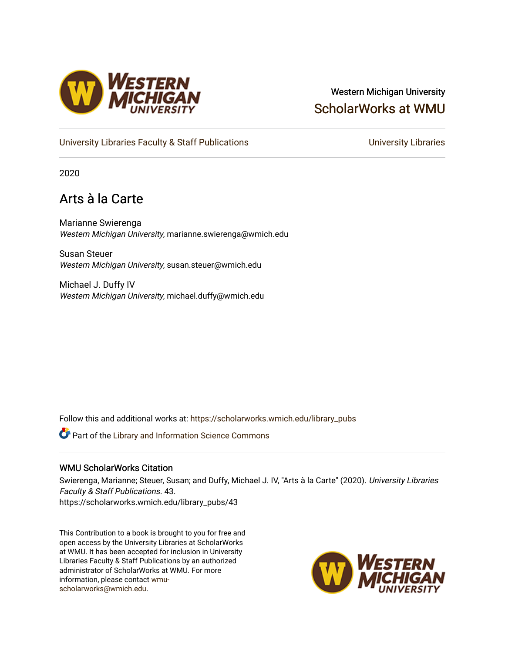## Western Michigan University [ScholarWorks at WMU](https://scholarworks.wmich.edu/)

[University Libraries Faculty & Staff Publications](https://scholarworks.wmich.edu/library_pubs) **Exercise State Conventions** University Libraries

2020

# Arts à la Carte

Marianne Swierenga Western Michigan University, marianne.swierenga@wmich.edu

Susan Steuer Western Michigan University, susan.steuer@wmich.edu

Michael J. Duffy IV Western Michigan University, michael.duffy@wmich.edu

Follow this and additional works at: [https://scholarworks.wmich.edu/library\\_pubs](https://scholarworks.wmich.edu/library_pubs?utm_source=scholarworks.wmich.edu%2Flibrary_pubs%2F43&utm_medium=PDF&utm_campaign=PDFCoverPages) 

Part of the [Library and Information Science Commons](http://network.bepress.com/hgg/discipline/1018?utm_source=scholarworks.wmich.edu%2Flibrary_pubs%2F43&utm_medium=PDF&utm_campaign=PDFCoverPages) 

#### WMU ScholarWorks Citation

Swierenga, Marianne; Steuer, Susan; and Duffy, Michael J. IV, "Arts à la Carte" (2020). University Libraries Faculty & Staff Publications. 43.

https://scholarworks.wmich.edu/library\_pubs/43

This Contribution to a book is brought to you for free and open access by the University Libraries at ScholarWorks at WMU. It has been accepted for inclusion in University Libraries Faculty & Staff Publications by an authorized administrator of ScholarWorks at WMU. For more information, please contact [wmu](mailto:wmu-scholarworks@wmich.edu)[scholarworks@wmich.edu.](mailto:wmu-scholarworks@wmich.edu)



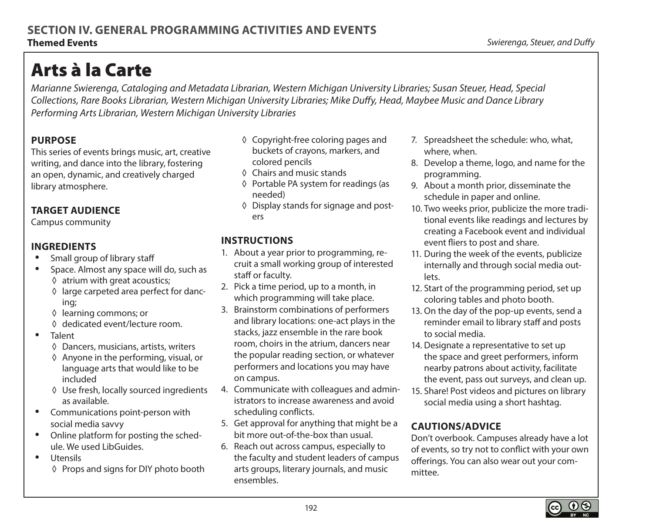# Arts à la Carte

*Marianne Swierenga, Cataloging and Metadata Librarian, Western Michigan University Libraries; Susan Steuer, Head, Special Collections, Rare Books Librarian, Western Michigan University Libraries; Mike Duffy, Head, Maybee Music and Dance Library Performing Arts Librarian, Western Michigan University Libraries*

#### **PURPOSE**

This series of events brings music, art, creative writing, and dance into the library, fostering an open, dynamic, and creatively charged library atmosphere.

#### **TARGET AUDIENCE**

Campus community

#### **INGREDIENTS**

- Small group of library staff
- Space. Almost any space will do, such as ◊ atrium with great acoustics;
	- ◊ large carpeted area perfect for dancing;
	- ◊ learning commons; or
	- ◊ dedicated event/lecture room.
- Talent
	- ◊ Dancers, musicians, artists, writers
	- ◊ Anyone in the performing, visual, or language arts that would like to be included
	- ◊ Use fresh, locally sourced ingredients as available.
- Communications point-person with social media savvy
- Online platform for posting the schedule. We used LibGuides.
- Utensils ◊ Props and signs for DIY photo booth
- ◊ Copyright-free coloring pages and buckets of crayons, markers, and colored pencils
- ◊ Chairs and music stands
- ◊ Portable PA system for readings (as needed)
- ◊ Display stands for signage and posters

### **INSTRUCTIONS**

- 1. About a year prior to programming, recruit a small working group of interested staff or faculty.
- 2. Pick a time period, up to a month, in which programming will take place.
- 3. Brainstorm combinations of performers and library locations: one-act plays in the stacks, jazz ensemble in the rare book room, choirs in the atrium, dancers near the popular reading section, or whatever performers and locations you may have on campus.
- 4. Communicate with colleagues and administrators to increase awareness and avoid scheduling conflicts.
- 5. Get approval for anything that might be a bit more out-of-the-box than usual.
- 6. Reach out across campus, especially to the faculty and student leaders of campus arts groups, literary journals, and music ensembles.
- 7. Spreadsheet the schedule: who, what, where, when.
- 8. Develop a theme, logo, and name for the programming.
- 9. About a month prior, disseminate the schedule in paper and online.
- 10. Two weeks prior, publicize the more traditional events like readings and lectures by creating a Facebook event and individual event fliers to post and share.
- 11. During the week of the events, publicize internally and through social media outlets.
- 12. Start of the programming period, set up coloring tables and photo booth.
- 13. On the day of the pop-up events, send a reminder email to library staff and posts to social media.
- 14. Designate a representative to set up the space and greet performers, inform nearby patrons about activity, facilitate the event, pass out surveys, and clean up.
- 15. Share! Post videos and pictures on library social media using a short hashtag.

#### **CAUTIONS/ADVICE**

Don't overbook. Campuses already have a lot of events, so try not to conflict with your own offerings. You can also wear out your committee.